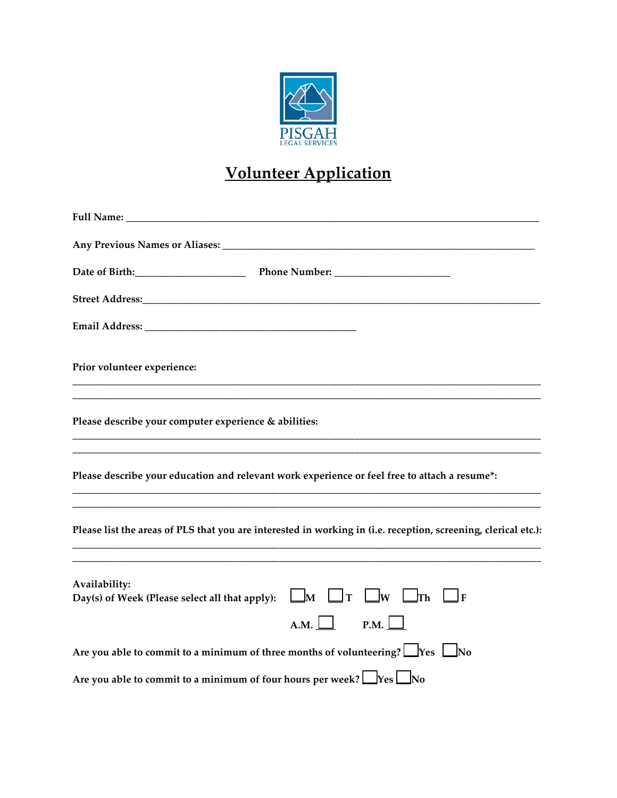

## **Volunteer Application**

| Prior volunteer experience:                                                                                    |
|----------------------------------------------------------------------------------------------------------------|
| Please describe your computer experience & abilities:                                                          |
| Please describe your education and relevant work experience or feel free to attach a resume*:                  |
| Please list the areas of PLS that you are interested in working in (i.e. reception, screening, clerical etc.): |
| Availability:<br>Day(s) of Week (Please select all that apply): $\Box M$ $\Box T$<br>A.M.<br>P.M.              |
| Are you able to commit to a minimum of three months of volunteering? $\Box$ Yes $\Box$ No                      |
| Are you able to commit to a minimum of four hours per week? $\Box$ Yes $\Box$ No                               |